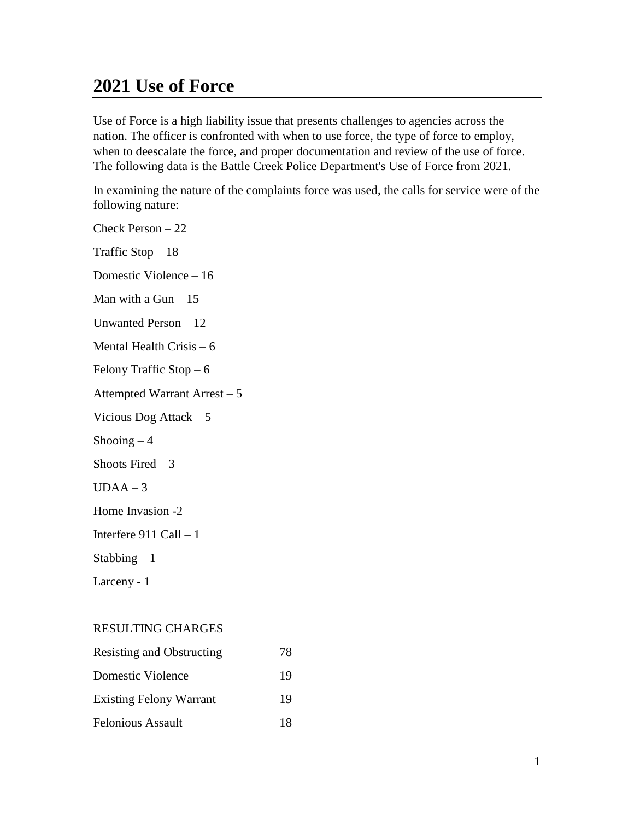# **2021 Use of Force**

Use of Force is a high liability issue that presents challenges to agencies across the nation. The officer is confronted with when to use force, the type of force to employ, when to deescalate the force, and proper documentation and review of the use of force. The following data is the Battle Creek Police Department's Use of Force from 2021.

In examining the nature of the complaints force was used, the calls for service were of the following nature:

Check Person – 22 Traffic Stop – 18 Domestic Violence – 16 Man with a Gun  $-15$ Unwanted Person – 12 Mental Health Crisis – 6 Felony Traffic Stop – 6 Attempted Warrant Arrest – 5 Vicious Dog Attack – 5 Shooing  $-4$ Shoots Fired  $-3$  $UDAA - 3$ Home Invasion -2 Interfere 911 Call – 1 Stabbing  $-1$ Larceny - 1

#### RESULTING CHARGES

| <b>Resisting and Obstructing</b> | 78 |
|----------------------------------|----|
| Domestic Violence                | 19 |
| <b>Existing Felony Warrant</b>   | 19 |
| <b>Felonious Assault</b>         | 18 |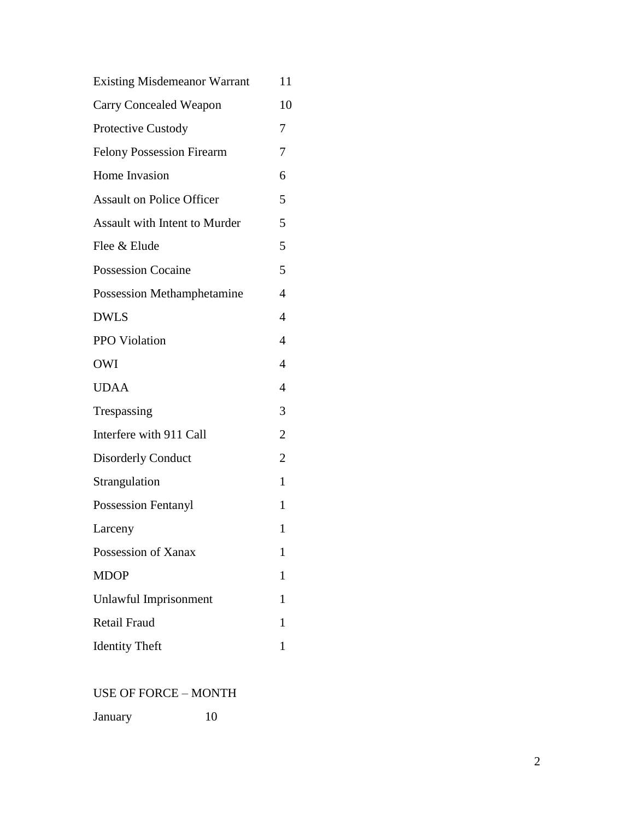| <b>Existing Misdemeanor Warrant</b> | 11             |
|-------------------------------------|----------------|
| <b>Carry Concealed Weapon</b>       | 10             |
| Protective Custody                  | 7              |
| <b>Felony Possession Firearm</b>    | 7              |
| Home Invasion                       | 6              |
| <b>Assault on Police Officer</b>    | 5              |
| Assault with Intent to Murder       | 5              |
| Flee & Elude                        | 5              |
| <b>Possession Cocaine</b>           | 5              |
| <b>Possession Methamphetamine</b>   | 4              |
| <b>DWLS</b>                         | $\overline{4}$ |
| PPO Violation                       | $\overline{4}$ |
| <b>OWI</b>                          | $\overline{4}$ |
| <b>UDAA</b>                         | 4              |
| Trespassing                         | 3              |
| Interfere with 911 Call             | $\overline{2}$ |
| <b>Disorderly Conduct</b>           | $\overline{2}$ |
| Strangulation                       | $\mathbf{1}$   |
| <b>Possession Fentanyl</b>          | 1              |
| Larceny                             | 1              |
| Possession of Xanax                 | $\mathbf{1}$   |
| <b>MDOP</b>                         | 1              |
| Unlawful Imprisonment               | 1              |
| Retail Fraud                        | 1              |
| <b>Identity Theft</b>               | 1              |
|                                     |                |

#### USE OF FORCE – MONTH

| January |  |
|---------|--|
|         |  |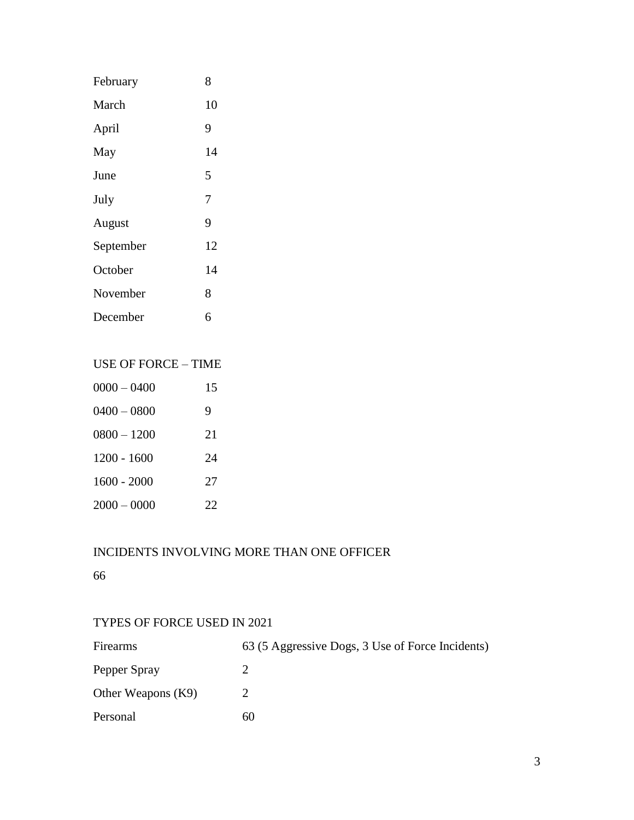| February  | 8  |
|-----------|----|
| March     | 10 |
| April     | 9  |
| May       | 14 |
| June      | 5  |
| July      | 7  |
| August    | 9  |
| September | 12 |
| October   | 14 |
| November  | 8  |
| December  | 6  |

## USE OF FORCE – TIME

| $0000 - 0400$ | 15 |
|---------------|----|
| $0400 - 0800$ | 9  |
| $0800 - 1200$ | 21 |
| $1200 - 1600$ | 24 |
| $1600 - 2000$ | 27 |
| $2000 - 0000$ | 22 |

## INCIDENTS INVOLVING MORE THAN ONE OFFICER

66

#### TYPES OF FORCE USED IN 2021

| Firearms           | 63 (5 Aggressive Dogs, 3 Use of Force Incidents) |
|--------------------|--------------------------------------------------|
| Pepper Spray       |                                                  |
| Other Weapons (K9) |                                                  |
| Personal           | 60                                               |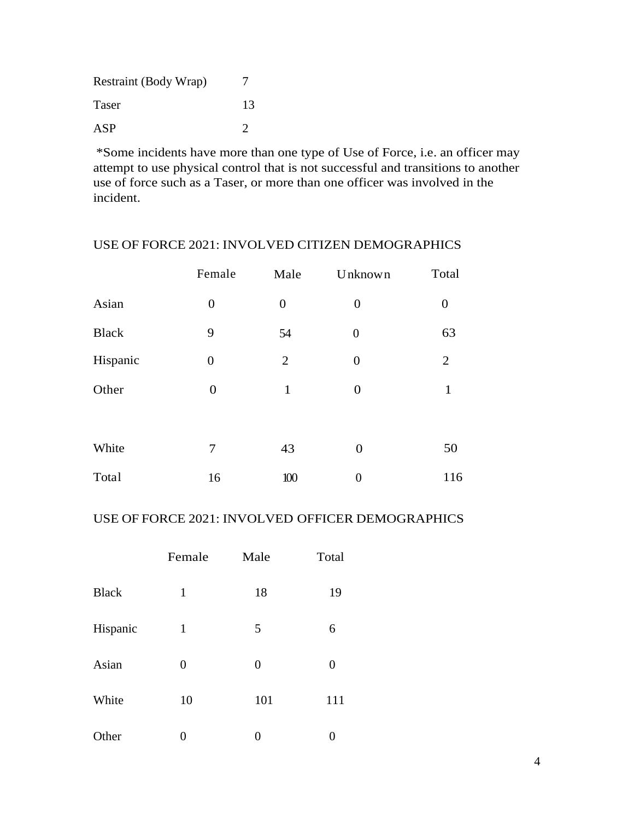| Restraint (Body Wrap) |                             |
|-----------------------|-----------------------------|
| Taser                 | 13                          |
| ASP                   | $\mathcal{D}_{\mathcal{A}}$ |

\*Some incidents have more than one type of Use of Force, i.e. an officer may attempt to use physical control that is not successful and transitions to another use of force such as a Taser, or more than one officer was involved in the incident.

#### USE OF FORCE 2021: INVOLVED CITIZEN DEMOGRAPHICS

|              | Female           | Male             | Unknown          | Total            |
|--------------|------------------|------------------|------------------|------------------|
| Asian        | $\boldsymbol{0}$ | $\boldsymbol{0}$ | $\overline{0}$   | $\boldsymbol{0}$ |
| <b>Black</b> | 9                | 54               | $\overline{0}$   | 63               |
| Hispanic     | $\overline{0}$   | $\overline{2}$   | $\boldsymbol{0}$ | $\overline{2}$   |
| Other        | $\boldsymbol{0}$ | $\mathbf{1}$     | $\overline{0}$   | 1                |
|              |                  |                  |                  |                  |
| White        | 7                | 43               | $\overline{0}$   | 50               |
| Total        | 16               | 100              | $\boldsymbol{0}$ | 116              |

#### USE OF FORCE 2021: INVOLVED OFFICER DEMOGRAPHICS

|              | Female       | Male           | Total |
|--------------|--------------|----------------|-------|
| <b>Black</b> | $\mathbf{1}$ | 18             | 19    |
| Hispanic     | 1            | 5              | 6     |
| Asian        | 0            | $\overline{0}$ | 0     |
| White        | 10           | 101            | 111   |
| Other        | 0            | 0              | 0     |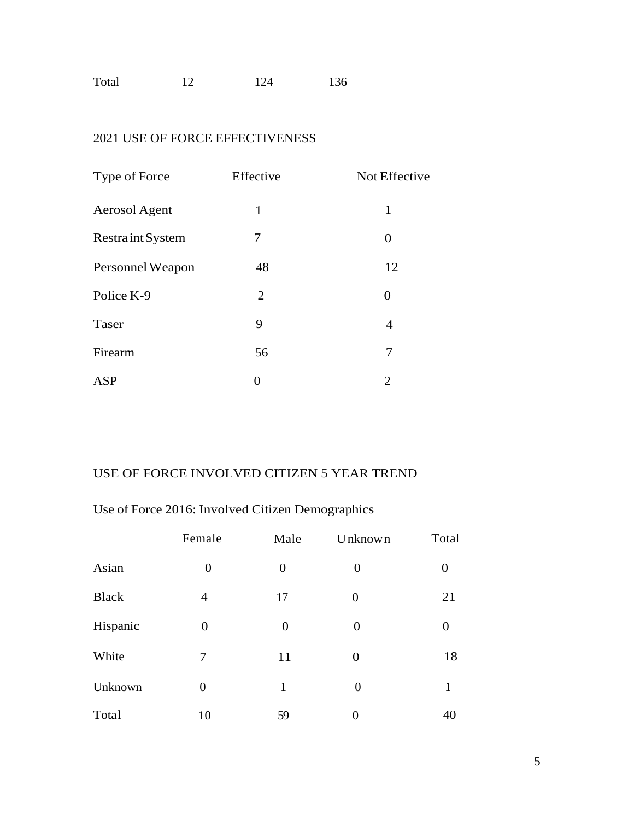| Total<br>124 | 136 |
|--------------|-----|
|--------------|-----|

## 2021 USE OF FORCE EFFECTIVENESS

| Type of Force           | Effective | Not Effective |
|-------------------------|-----------|---------------|
| Aerosol Agent           | 1         | $\mathbf{1}$  |
| <b>Restraint System</b> | 7         | 0             |
| Personnel Weapon        | 48        | 12            |
| Police K-9              | 2         | 0             |
| Taser                   | 9         | 4             |
| Firearm                 | 56        | 7             |
| ASP                     | 0         | 2             |

### USE OF FORCE INVOLVED CITIZEN 5 YEAR TREND

# Use of Force 2016: Involved Citizen Demographics

|              | Female         | Male           | Unknown        | Total          |
|--------------|----------------|----------------|----------------|----------------|
| Asian        | $\overline{0}$ | $\overline{0}$ | $\overline{0}$ | $\overline{0}$ |
| <b>Black</b> | $\overline{4}$ | 17             | $\overline{0}$ | 21             |
| Hispanic     | $\overline{0}$ | $\overline{0}$ | $\overline{0}$ | $\overline{0}$ |
| White        | 7              | 11             | $\overline{0}$ | 18             |
| Unknown      | $\overline{0}$ | $\mathbf{1}$   | $\overline{0}$ | 1              |
| Total        | 10             | 59             | 0              | 40             |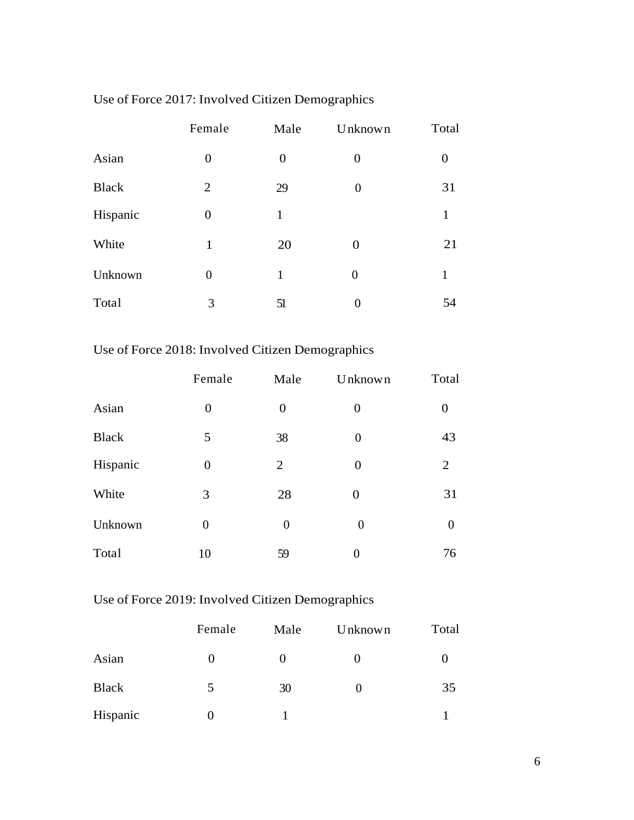|              | Female         | Male           | Unknown        | Total          |
|--------------|----------------|----------------|----------------|----------------|
| Asian        | $\overline{0}$ | $\overline{0}$ | 0              | $\overline{0}$ |
| <b>Black</b> | $\overline{2}$ | 29             | $\theta$       | 31             |
| Hispanic     | $\theta$       | $\mathbf{1}$   |                | 1              |
| White        | $\mathbf{1}$   | 20             | $\overline{0}$ | 21             |
| Unknown      | $\overline{0}$ | 1              | $\theta$       | 1              |
| Total        | 3              | 51             | 0              | 54             |

# Use of Force 2017: Involved Citizen Demographics

# Use of Force 2018: Involved Citizen Demographics

|              | Female         | Male           | Unknown        | Total            |
|--------------|----------------|----------------|----------------|------------------|
| Asian        | $\overline{0}$ | $\overline{0}$ | 0              | $\boldsymbol{0}$ |
| <b>Black</b> | 5              | 38             | $\overline{0}$ | 43               |
| Hispanic     | $\overline{0}$ | $\overline{2}$ | $\overline{0}$ | $\overline{2}$   |
| White        | 3              | 28             | $\overline{0}$ | 31               |
| Unknown      | $\overline{0}$ | $\overline{0}$ | $\overline{0}$ | $\overline{0}$   |
| Total        | 10             | 59             | 0              | 76               |

# Use of Force 2019: Involved Citizen Demographics

|              | Female | Male     | Unknown | Total |
|--------------|--------|----------|---------|-------|
| Asian        | O      | $\theta$ |         |       |
| <b>Black</b> | 5      | 30       |         | 35    |
| Hispanic     |        |          |         |       |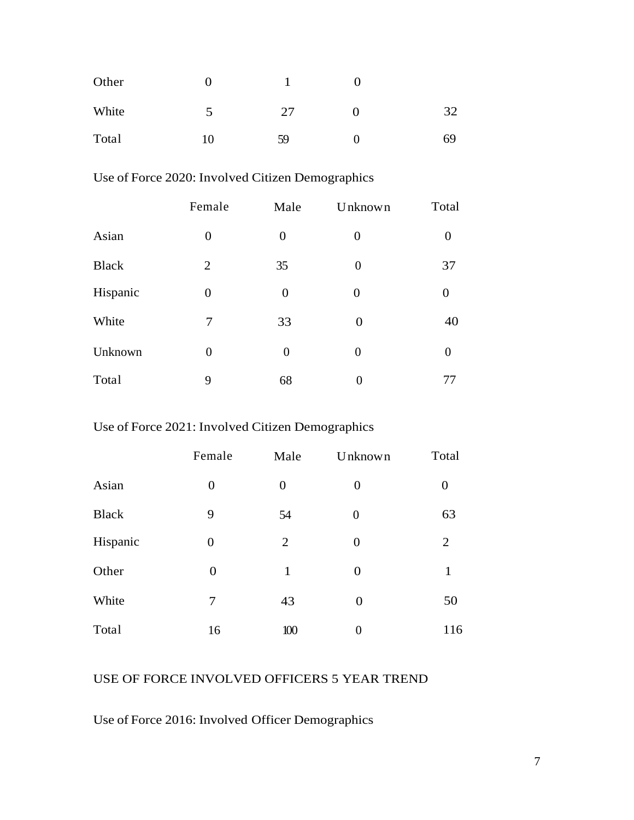| Other | 0  |    |    |
|-------|----|----|----|
| White | 5  | 27 | 32 |
| Total | 10 | 59 | 69 |

### Use of Force 2020: Involved Citizen Demographics

|              | Female         | Male           | Unknown        | Total            |
|--------------|----------------|----------------|----------------|------------------|
| Asian        | $\overline{0}$ | $\overline{0}$ | $\Omega$       | $\theta$         |
| <b>Black</b> | 2              | 35             | 0              | 37               |
| Hispanic     | $\theta$       | $\overline{0}$ | 0              | $\overline{0}$   |
| White        | 7              | 33             | $\theta$       | 40               |
| Unknown      | $\overline{0}$ | $\overline{0}$ | $\overline{0}$ | $\boldsymbol{0}$ |
| Total        | 9              | 68             | 0              | 77               |

### Use of Force 2021: Involved Citizen Demographics

|              | Female           | Male           | Unknown        | Total            |
|--------------|------------------|----------------|----------------|------------------|
| Asian        | $\boldsymbol{0}$ | $\overline{0}$ | 0              | $\boldsymbol{0}$ |
| <b>Black</b> | 9                | 54             | $\overline{0}$ | 63               |
| Hispanic     | $\boldsymbol{0}$ | $\overline{2}$ | $\overline{0}$ | 2                |
| Other        | $\boldsymbol{0}$ | 1              | 0              | 1                |
| White        | 7                | 43             | $\overline{0}$ | 50               |
| Total        | 16               | 100            | $\overline{0}$ | 116              |

#### USE OF FORCE INVOLVED OFFICERS 5 YEAR TREND

Use of Force 2016: Involved Officer Demographics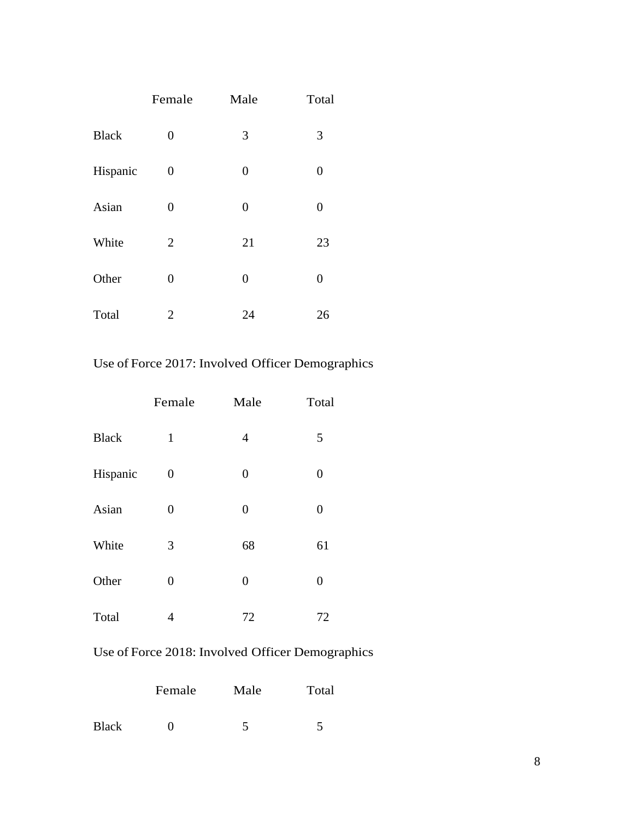|              | Female           | Male             | Total          |
|--------------|------------------|------------------|----------------|
| <b>Black</b> | $\boldsymbol{0}$ | 3                | 3              |
| Hispanic     | $\boldsymbol{0}$ | $\boldsymbol{0}$ | $\overline{0}$ |
| Asian        | $\overline{0}$   | 0                | $\overline{0}$ |
| White        | $\overline{2}$   | 21               | 23             |
| Other        | $\overline{0}$   | $\boldsymbol{0}$ | 0              |
| Total        | 2                | 24               | 26             |

Use of Force 2017: Involved Officer Demographics

|              | Female         | Male             | Total            |
|--------------|----------------|------------------|------------------|
| <b>Black</b> | $\mathbf{1}$   | 4                | 5                |
| Hispanic     | 0              | $\boldsymbol{0}$ | $\boldsymbol{0}$ |
| Asian        | 0              | $\boldsymbol{0}$ | $\boldsymbol{0}$ |
| White        | 3              | 68               | 61               |
| Other        | $\overline{0}$ | $\boldsymbol{0}$ | $\boldsymbol{0}$ |
| Total        | 4              | 72               | 72               |

Use of Force 2018: Involved Officer Demographics

|              | Female | Male | Total |
|--------------|--------|------|-------|
| <b>Black</b> |        |      |       |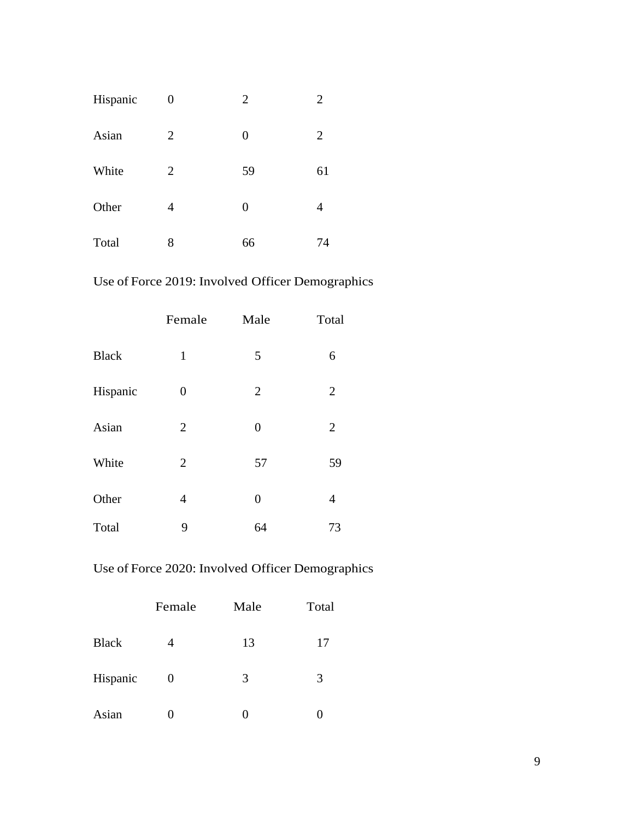| Hispanic | 0              | $\overline{2}$ | 2              |
|----------|----------------|----------------|----------------|
| Asian    | $\overline{2}$ | $\overline{0}$ | $\overline{2}$ |
| White    | $\overline{2}$ | 59             | 61             |
| Other    | 4              | $\overline{0}$ | 4              |
| Total    | 8              | 66             | 74             |

# Use of Force 2019: Involved Officer Demographics

|              | Female         | Male           | Total          |
|--------------|----------------|----------------|----------------|
| <b>Black</b> | $\mathbf{1}$   | 5              | 6              |
| Hispanic     | 0              | $\overline{2}$ | $\overline{2}$ |
| Asian        | $\overline{2}$ | $\overline{0}$ | $\overline{2}$ |
| White        | $\overline{2}$ | 57             | 59             |
| Other        | 4              | $\overline{0}$ | 4              |
| Total        | 9              | 64             | 73             |

# Use of Force 2020: Involved Officer Demographics

|              | Female | Male | Total |
|--------------|--------|------|-------|
| <b>Black</b> |        | 13   | 17    |
| Hispanic     | 0      | 3    | 3     |
| Asian        |        |      |       |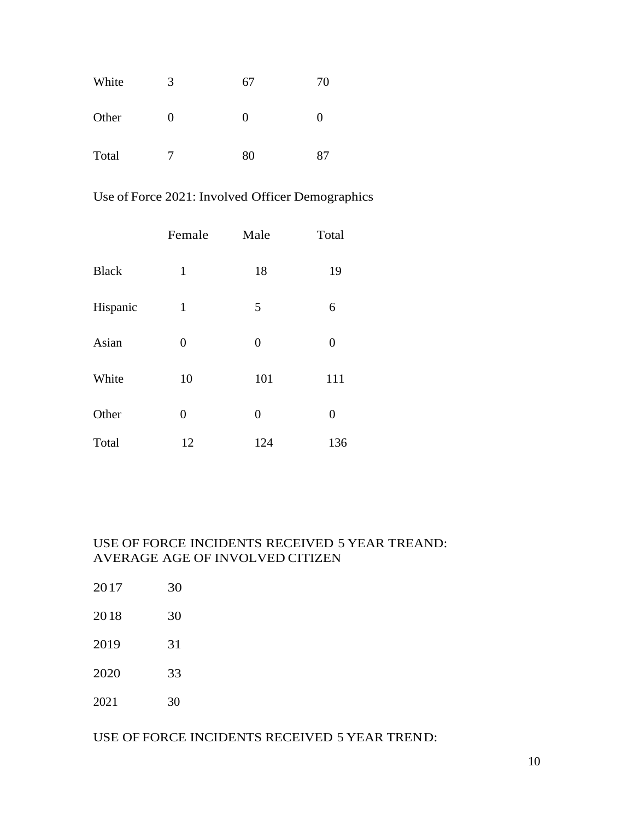| White | 3 | 67 | 70       |
|-------|---|----|----------|
| Other | 0 | O  | $\theta$ |
| Total | 7 | 80 | 87       |

Use of Force 2021: Involved Officer Demographics

|              | Female         | Male           | Total            |
|--------------|----------------|----------------|------------------|
| <b>Black</b> | $\mathbf{1}$   | 18             | 19               |
| Hispanic     | $\mathbf{1}$   | 5              | 6                |
| Asian        | $\overline{0}$ | $\overline{0}$ | $\boldsymbol{0}$ |
| White        | 10             | 101            | 111              |
| Other        | $\overline{0}$ | $\overline{0}$ | $\overline{0}$   |
| Total        | 12             | 124            | 136              |

#### USE OF FORCE INCIDENTS RECEIVED 5 YEAR TREAND: AVERAGE AGE OF INVOLVED CITIZEN

| 2017 | 30 |
|------|----|
| 2018 | 30 |
| 2019 | 31 |
| 2020 | 33 |
| 2021 | 30 |

USE OF FORCE INCIDENTS RECEIVED 5 YEAR TREND: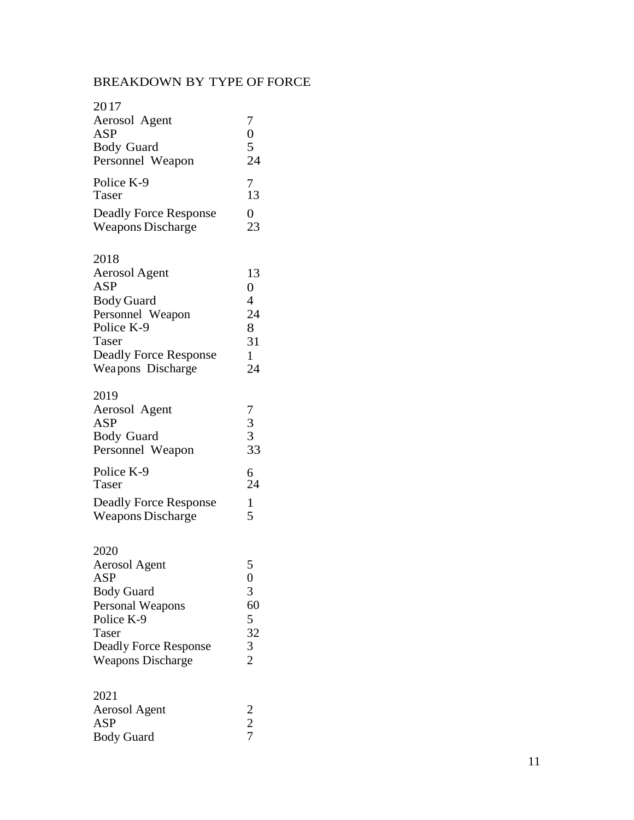## BREAKDOWN BY TYPE OF FORCE

| 2017                         |                                                  |
|------------------------------|--------------------------------------------------|
| Aerosol Agent                | 7                                                |
| <b>ASP</b>                   | $\frac{0}{5}$<br>24                              |
| <b>Body Guard</b>            |                                                  |
| Personnel Weapon             |                                                  |
| Police K-9                   | $\frac{7}{13}$                                   |
| Taser                        |                                                  |
| <b>Deadly Force Response</b> | $\overline{0}$                                   |
| <b>Weapons Discharge</b>     | 23                                               |
| 2018                         |                                                  |
| <b>Aerosol Agent</b>         | 13                                               |
| <b>ASP</b>                   | $\overline{0}$                                   |
| <b>Body Guard</b>            | $\overline{4}$                                   |
| Personnel Weapon             | 24                                               |
| Police K-9                   | 8                                                |
| Taser                        | 31                                               |
| <b>Deadly Force Response</b> | 1                                                |
| Weapons Discharge            | 24                                               |
| 2019                         |                                                  |
| Aerosol Agent                |                                                  |
| <b>ASP</b>                   | $\begin{array}{c} 7 \\ 3 \\ 3 \\ 33 \end{array}$ |
| <b>Body Guard</b>            |                                                  |
| Personnel Weapon             |                                                  |
| Police K-9                   | $\frac{6}{24}$                                   |
| Taser                        |                                                  |
| <b>Deadly Force Response</b> | 1                                                |
| <b>Weapons Discharge</b>     | 5                                                |
| 2020                         |                                                  |
| <b>Aerosol Agent</b>         |                                                  |
| <b>ASP</b>                   | $\frac{5}{0}$                                    |
| <b>Body Guard</b>            | 3                                                |

| DOUY OUAIU                   |               |
|------------------------------|---------------|
| Personal Weapons             | 60            |
| Police K-9                   | 5             |
| <b>Taser</b>                 | 32            |
| <b>Deadly Force Response</b> | 3             |
| <b>Weapons Discharge</b>     | $\mathcal{D}$ |

# 2021

| Aerosol Agent     |  |
|-------------------|--|
| ASP               |  |
| <b>Body Guard</b> |  |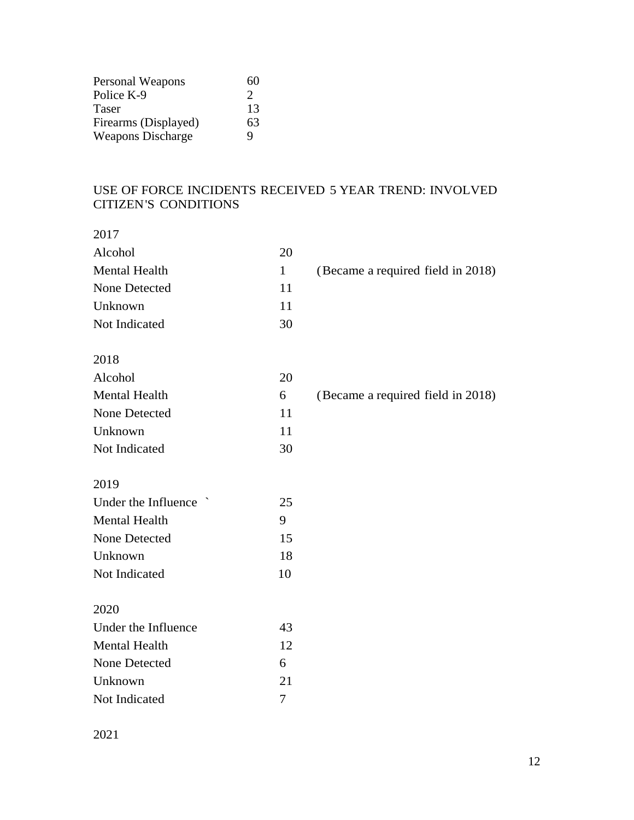| Personal Weapons         | 60            |
|--------------------------|---------------|
| Police K-9               | $\mathcal{D}$ |
| Taser                    | 13            |
| Firearms (Displayed)     | 63            |
| <b>Weapons Discharge</b> | Q             |

### USE OF FORCE INCIDENTS RECEIVED 5 YEAR TREND: INVOLVED CITIZEN'S CONDITIONS

| ×<br>I |  |
|--------|--|

| <b>Mental Health</b><br>$\mathbf{1}$<br>(Became a required field in 2018)<br>None Detected<br>11<br>11<br>Unknown<br>Not Indicated<br>30<br>2018<br>Alcohol<br>20 |  |
|-------------------------------------------------------------------------------------------------------------------------------------------------------------------|--|
|                                                                                                                                                                   |  |
|                                                                                                                                                                   |  |
|                                                                                                                                                                   |  |
|                                                                                                                                                                   |  |
|                                                                                                                                                                   |  |
|                                                                                                                                                                   |  |
|                                                                                                                                                                   |  |
| <b>Mental Health</b><br>6<br>(Became a required field in 2018)                                                                                                    |  |
| None Detected<br>11                                                                                                                                               |  |
| 11<br>Unknown                                                                                                                                                     |  |
| Not Indicated<br>30                                                                                                                                               |  |
|                                                                                                                                                                   |  |
| 2019                                                                                                                                                              |  |
| Under the Influence `<br>25                                                                                                                                       |  |
| <b>Mental Health</b><br>9                                                                                                                                         |  |
| None Detected<br>15                                                                                                                                               |  |
| 18<br>Unknown                                                                                                                                                     |  |
| Not Indicated<br>10                                                                                                                                               |  |
|                                                                                                                                                                   |  |
| 2020                                                                                                                                                              |  |
| Under the Influence<br>43                                                                                                                                         |  |
| <b>Mental Health</b><br>12                                                                                                                                        |  |
| None Detected<br>6                                                                                                                                                |  |
| 21<br>Unknown                                                                                                                                                     |  |
| Not Indicated<br>7                                                                                                                                                |  |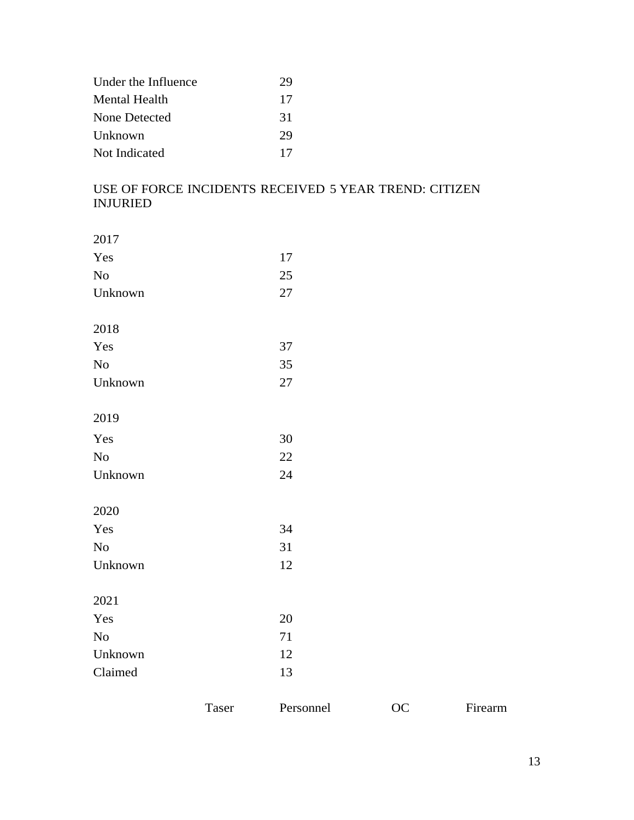| Under the Influence | 29 |
|---------------------|----|
| Mental Health       | 17 |
| None Detected       | 31 |
| Unknown             | 29 |
| Not Indicated       | 17 |

### USE OF FORCE INCIDENTS RECEIVED 5 YEAR TREND: CITIZEN INJURIED

| 2017    |    |
|---------|----|
| Yes     | 17 |
| No      | 25 |
| Unknown | 27 |
| 2018    |    |
| Yes     | 37 |
| No      | 35 |
| Unknown | 27 |
| 2019    |    |
| Yes     | 30 |
| No      | 22 |
| Unknown | 24 |
| 2020    |    |
| Yes     | 34 |
| No      | 31 |
| Unknown | 12 |
| 2021    |    |
| Yes     | 20 |
| No      | 71 |
| Unknown | 12 |
| Claimed | 13 |

Taser Personnel OC Firearm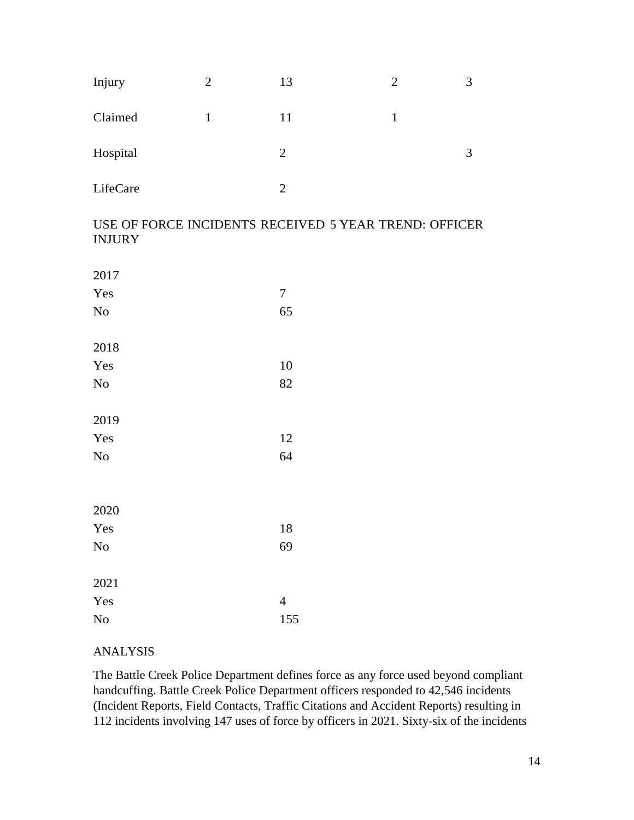| Injury   | $\overline{2}$ | 13             | $\overline{2}$ | 3 |
|----------|----------------|----------------|----------------|---|
| Claimed  |                | 11             |                |   |
| Hospital |                | 2              |                | 3 |
| LifeCare |                | $\overline{2}$ |                |   |

#### USE OF FORCE INCIDENTS RECEIVED 5 YEAR TREND: OFFICER INJURY

| 2017 |                |
|------|----------------|
| Yes  | 7              |
| No   | 65             |
| 2018 |                |
| Yes  | 10             |
| No   | 82             |
| 2019 |                |
| Yes  | 12             |
| No   | 64             |
| 2020 |                |
| Yes  | 18             |
| No   | 69             |
| 2021 |                |
| Yes  | $\overline{4}$ |
| No   | 155            |

#### ANALYSIS

The Battle Creek Police Department defines force as any force used beyond compliant handcuffing. Battle Creek Police Department officers responded to 42,546 incidents (Incident Reports, Field Contacts, Traffic Citations and Accident Reports) resulting in 112 incidents involving 147 uses of force by officers in 2021. Sixty-six of the incidents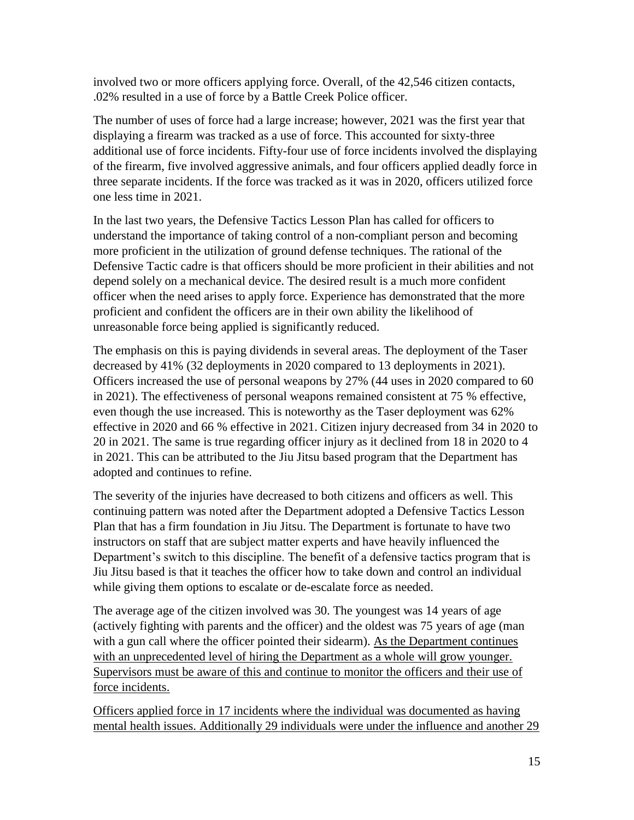involved two or more officers applying force. Overall, of the 42,546 citizen contacts, .02% resulted in a use of force by a Battle Creek Police officer.

The number of uses of force had a large increase; however, 2021 was the first year that displaying a firearm was tracked as a use of force. This accounted for sixty-three additional use of force incidents. Fifty-four use of force incidents involved the displaying of the firearm, five involved aggressive animals, and four officers applied deadly force in three separate incidents. If the force was tracked as it was in 2020, officers utilized force one less time in 2021.

In the last two years, the Defensive Tactics Lesson Plan has called for officers to understand the importance of taking control of a non-compliant person and becoming more proficient in the utilization of ground defense techniques. The rational of the Defensive Tactic cadre is that officers should be more proficient in their abilities and not depend solely on a mechanical device. The desired result is a much more confident officer when the need arises to apply force. Experience has demonstrated that the more proficient and confident the officers are in their own ability the likelihood of unreasonable force being applied is significantly reduced.

The emphasis on this is paying dividends in several areas. The deployment of the Taser decreased by 41% (32 deployments in 2020 compared to 13 deployments in 2021). Officers increased the use of personal weapons by 27% (44 uses in 2020 compared to 60 in 2021). The effectiveness of personal weapons remained consistent at 75 % effective, even though the use increased. This is noteworthy as the Taser deployment was 62% effective in 2020 and 66 % effective in 2021. Citizen injury decreased from 34 in 2020 to 20 in 2021. The same is true regarding officer injury as it declined from 18 in 2020 to 4 in 2021. This can be attributed to the Jiu Jitsu based program that the Department has adopted and continues to refine.

The severity of the injuries have decreased to both citizens and officers as well. This continuing pattern was noted after the Department adopted a Defensive Tactics Lesson Plan that has a firm foundation in Jiu Jitsu. The Department is fortunate to have two instructors on staff that are subject matter experts and have heavily influenced the Department's switch to this discipline. The benefit of a defensive tactics program that is Jiu Jitsu based is that it teaches the officer how to take down and control an individual while giving them options to escalate or de-escalate force as needed.

The average age of the citizen involved was 30. The youngest was 14 years of age (actively fighting with parents and the officer) and the oldest was 75 years of age (man with a gun call where the officer pointed their sidearm). As the Department continues with an unprecedented level of hiring the Department as a whole will grow younger. Supervisors must be aware of this and continue to monitor the officers and their use of force incidents.

Officers applied force in 17 incidents where the individual was documented as having mental health issues. Additionally 29 individuals were under the influence and another 29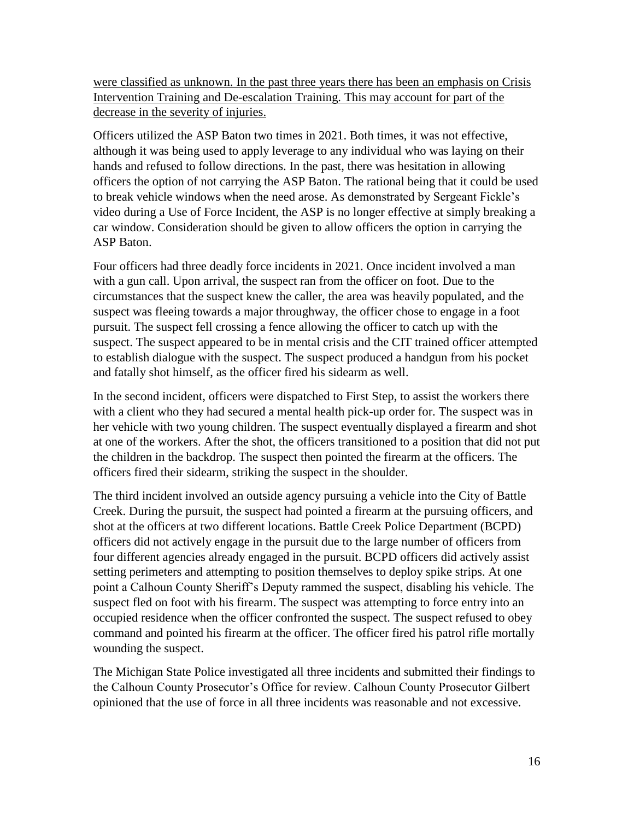were classified as unknown. In the past three years there has been an emphasis on Crisis Intervention Training and De-escalation Training. This may account for part of the decrease in the severity of injuries.

Officers utilized the ASP Baton two times in 2021. Both times, it was not effective, although it was being used to apply leverage to any individual who was laying on their hands and refused to follow directions. In the past, there was hesitation in allowing officers the option of not carrying the ASP Baton. The rational being that it could be used to break vehicle windows when the need arose. As demonstrated by Sergeant Fickle's video during a Use of Force Incident, the ASP is no longer effective at simply breaking a car window. Consideration should be given to allow officers the option in carrying the ASP Baton.

Four officers had three deadly force incidents in 2021. Once incident involved a man with a gun call. Upon arrival, the suspect ran from the officer on foot. Due to the circumstances that the suspect knew the caller, the area was heavily populated, and the suspect was fleeing towards a major throughway, the officer chose to engage in a foot pursuit. The suspect fell crossing a fence allowing the officer to catch up with the suspect. The suspect appeared to be in mental crisis and the CIT trained officer attempted to establish dialogue with the suspect. The suspect produced a handgun from his pocket and fatally shot himself, as the officer fired his sidearm as well.

In the second incident, officers were dispatched to First Step, to assist the workers there with a client who they had secured a mental health pick-up order for. The suspect was in her vehicle with two young children. The suspect eventually displayed a firearm and shot at one of the workers. After the shot, the officers transitioned to a position that did not put the children in the backdrop. The suspect then pointed the firearm at the officers. The officers fired their sidearm, striking the suspect in the shoulder.

The third incident involved an outside agency pursuing a vehicle into the City of Battle Creek. During the pursuit, the suspect had pointed a firearm at the pursuing officers, and shot at the officers at two different locations. Battle Creek Police Department (BCPD) officers did not actively engage in the pursuit due to the large number of officers from four different agencies already engaged in the pursuit. BCPD officers did actively assist setting perimeters and attempting to position themselves to deploy spike strips. At one point a Calhoun County Sheriff's Deputy rammed the suspect, disabling his vehicle. The suspect fled on foot with his firearm. The suspect was attempting to force entry into an occupied residence when the officer confronted the suspect. The suspect refused to obey command and pointed his firearm at the officer. The officer fired his patrol rifle mortally wounding the suspect.

The Michigan State Police investigated all three incidents and submitted their findings to the Calhoun County Prosecutor's Office for review. Calhoun County Prosecutor Gilbert opinioned that the use of force in all three incidents was reasonable and not excessive.